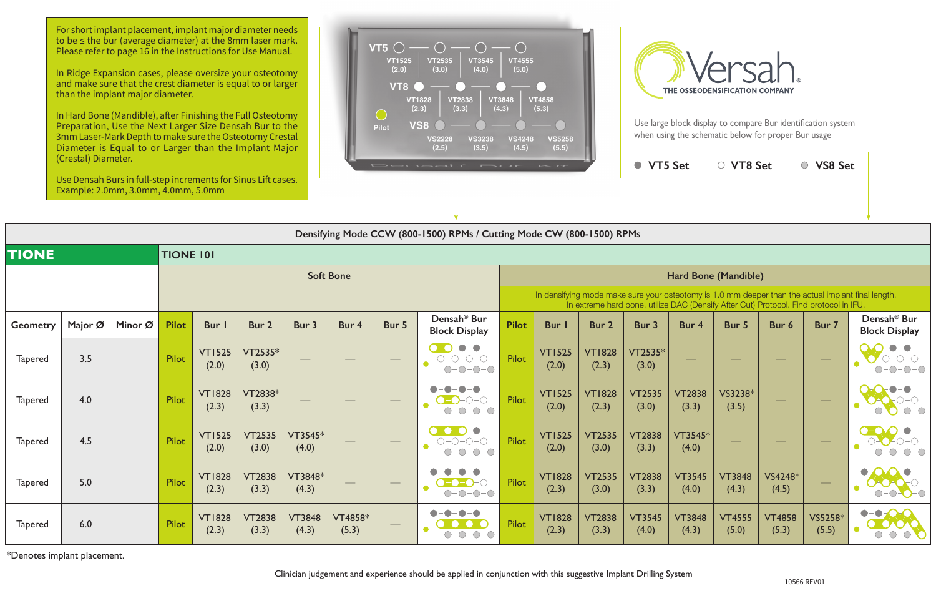|                 | laichean Diannach.                                                    | Use Densah Burs in full-step increments for Sinus Lift cases.<br>Example: 2.0mm, 3.0mm, 4.0mm, 5.0mm |       |                        |                        |                        |                  |                                   | Densah' Bur Kit                                                                                    |                                                                                                                                                                                             |                        |                        | ● VT5 Set              |                        | ○ VT8 Set              |                        | ○ VS8 Set                |                                                               |  |  |
|-----------------|-----------------------------------------------------------------------|------------------------------------------------------------------------------------------------------|-------|------------------------|------------------------|------------------------|------------------|-----------------------------------|----------------------------------------------------------------------------------------------------|---------------------------------------------------------------------------------------------------------------------------------------------------------------------------------------------|------------------------|------------------------|------------------------|------------------------|------------------------|------------------------|--------------------------|---------------------------------------------------------------|--|--|
|                 | Densifying Mode CCW (800-1500) RPMs / Cutting Mode CW (800-1500) RPMs |                                                                                                      |       |                        |                        |                        |                  |                                   |                                                                                                    |                                                                                                                                                                                             |                        |                        |                        |                        |                        |                        |                          |                                                               |  |  |
| <b>TIONE</b>    | <b>TIONE 101</b>                                                      |                                                                                                      |       |                        |                        |                        |                  |                                   |                                                                                                    |                                                                                                                                                                                             |                        |                        |                        |                        |                        |                        |                          |                                                               |  |  |
|                 |                                                                       |                                                                                                      |       |                        |                        |                        | <b>Soft Bone</b> |                                   |                                                                                                    | <b>Hard Bone (Mandible)</b>                                                                                                                                                                 |                        |                        |                        |                        |                        |                        |                          |                                                               |  |  |
|                 |                                                                       |                                                                                                      |       |                        |                        |                        |                  |                                   |                                                                                                    | In densifying mode make sure your osteotomy is 1.0 mm deeper than the actual implant final length.<br>In extreme hard bone, utilize DAC (Densify After Cut) Protocol. Find protocol in IFU. |                        |                        |                        |                        |                        |                        |                          |                                                               |  |  |
| <b>Geometry</b> | Major Ø                                                               | Minor Ø                                                                                              | Pilot | Bur I                  | Bur 2                  | Bur 3                  | Bur 4            | Bur 5                             | Densah <sup>®</sup> Bur<br><b>Block Display</b>                                                    | <b>Pilot</b>                                                                                                                                                                                | Bur I                  | Bur 2                  | Bur 3                  | Bur 4                  | Bur 5                  | Bur 6                  | Bur 7                    | Densah <sup>®</sup> Bur<br><b>Block Display</b>               |  |  |
| <b>Tapered</b>  | 3.5                                                                   |                                                                                                      | Pilot | <b>VT1525</b><br>(2.0) | $VT2535*$<br>(3.0)     |                        |                  |                                   | $-\bullet-\bullet$<br>$ \rightarrow$<br>$O-O-O-O$<br>$-0-0-0$<br>$\bigcirc$                        | Pilot                                                                                                                                                                                       | <b>VT1525</b><br>(2.0) | <b>VT1828</b><br>(2.3) | VT2535*<br>(3.0)       |                        |                        |                        | $\hspace{0.05cm}$        | $-0-0-0$<br>$\bigcirc$                                        |  |  |
| <b>Tapered</b>  | 4.0                                                                   |                                                                                                      | Pilot | <b>VT1828</b><br>(2.3) | VT2838*<br>(3.3)       |                        |                  | $\frac{1}{2}$                     | $\bullet - \bullet$<br>$\bigcirc$ - $\bigcirc$ - $\bigcirc$ - $\bigcirc$<br>$-0-0-0$<br>$\bigcirc$ | Pilot                                                                                                                                                                                       | <b>VT1525</b><br>(2.0) | <b>VT1828</b><br>(2.3) | <b>VT2535</b><br>(3.0) | <b>VT2838</b><br>(3.3) | VS3238*<br>(3.5)       |                        |                          | $ \bigcirc$ $ \bigcirc$                                       |  |  |
| <b>Tapered</b>  | 4.5                                                                   |                                                                                                      | Pilot | <b>VT1525</b><br>(2.0) | <b>VT2535</b><br>(3.0) | VT3545*<br>(4.0)       |                  | $\overbrace{\phantom{aaaaa}}^{x}$ | $\bullet$ -0-0-0<br>$O-O-O-O$<br>$-0-0-0$<br>$\bigcirc$                                            | Pilot                                                                                                                                                                                       | <b>VT1525</b><br>(2.0) | <b>VT2535</b><br>(3.0) | <b>VT2838</b><br>(3.3) | VT3545*<br>(4.0)       |                        |                        | $\hspace{0.05cm}$        | $O-O-O$                                                       |  |  |
| <b>Tapered</b>  | 5.0                                                                   |                                                                                                      | Pilot | <b>VT1828</b><br>(2.3) | <b>VT2838</b><br>(3.3) | VT3848*<br>(4.3)       |                  |                                   | $\bullet - \bullet$<br>$\blacksquare$<br>-0-0-0<br>$-0$ -O-O<br>∩                                  | Pilot                                                                                                                                                                                       | <b>VT1828</b><br>(2.3) | <b>VT2535</b><br>(3.0) | <b>VT2838</b><br>(3.3) | <b>VT3545</b><br>(4.0) | <b>VT3848</b><br>(4.3) | VS4248*<br>(4.5)       | $\overline{\phantom{a}}$ | $-0$ -O-O<br>$\bigcirc$                                       |  |  |
| <b>Tapered</b>  | 6.0                                                                   |                                                                                                      | Pilot | <b>VT1828</b><br>(2.3) | <b>VT2838</b><br>(3.3) | <b>VT3848</b><br>(4.3) | VT4858*<br>(5.3) |                                   | $\bullet$ – $\bullet$<br>$-0-0-0$<br>$\bigcirc$                                                    | Pilot                                                                                                                                                                                       | <b>VT1828</b><br>(2.3) | <b>VT2838</b><br>(3.3) | <b>VT3545</b><br>(4.0) | <b>VT3848</b><br>(4.3) | <b>VT4555</b><br>(5.0) | <b>VT4858</b><br>(5.3) | VS5258*<br>(5.5)         | $-\bullet - \bullet -$<br>$\bullet$<br>-0-0-0<br>$\bigcirc$ - |  |  |

\*Denotes implant placement.

Clinician judgement and experience should be applied in conjunction with this suggestive Implant Drilling System

For short implant placement, implant major diameter needs to be ≤ the bur (average diameter) at the 8mm laser mark. Please refer to page 16 in the Instructions for Use Manual.

In Ridge Expansion cases, please oversize your osteotomy and make sure that the crest diameter is equal to or larger than the implant major diameter.

In Hard Bone (Mandible), after Finishing the Full Osteotomy Preparation, Use the Next Larger Size Densah Bur to the 3mm Laser-Mark Depth to make sure the Osteotomy Crestal Diameter is Equal to or Larger than the Implant Major (Crestal) Diameter.





Use large block display to compare Bur identification system when using the schematic below for proper Bur usage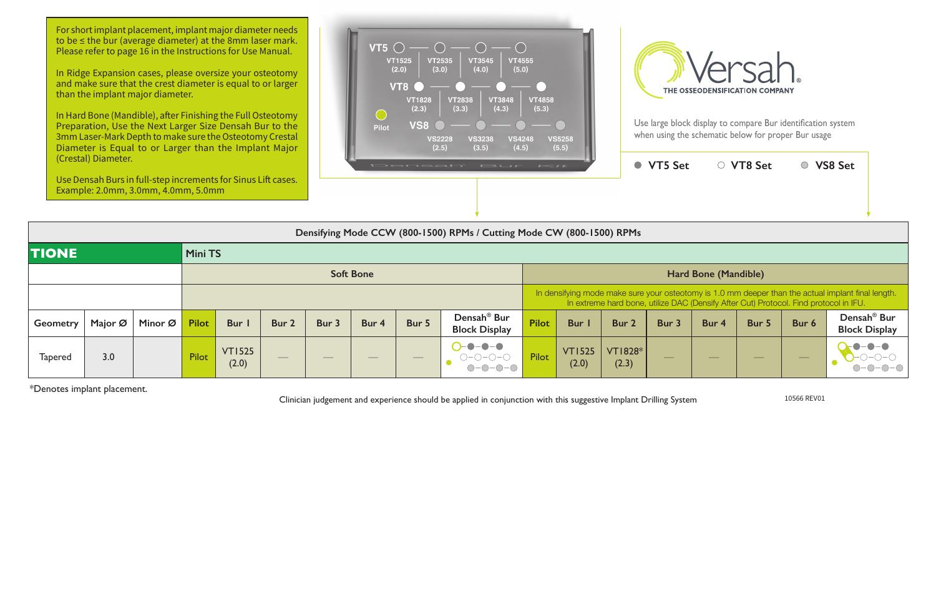| $\mathbf{r}$                                                                                                                                                                                |                        |                         | <b>VT5 Set</b> |                  | ○ VT8 Set |       | <b>VS8 Set</b>                                  |  |  |  |  |  |
|---------------------------------------------------------------------------------------------------------------------------------------------------------------------------------------------|------------------------|-------------------------|----------------|------------------|-----------|-------|-------------------------------------------------|--|--|--|--|--|
|                                                                                                                                                                                             |                        |                         |                |                  |           |       |                                                 |  |  |  |  |  |
| le CW (800-1500) RPMs                                                                                                                                                                       |                        |                         |                |                  |           |       |                                                 |  |  |  |  |  |
|                                                                                                                                                                                             |                        |                         |                |                  |           |       |                                                 |  |  |  |  |  |
| <b>Hard Bone (Mandible)</b>                                                                                                                                                                 |                        |                         |                |                  |           |       |                                                 |  |  |  |  |  |
| In densifying mode make sure your osteotomy is 1.0 mm deeper than the actual implant final length.<br>In extreme hard bone, utilize DAC (Densify After Cut) Protocol. Find protocol in IFU. |                        |                         |                |                  |           |       |                                                 |  |  |  |  |  |
| ilot                                                                                                                                                                                        | <b>Bur</b> I           | Bur 2                   | Bur 3          | Bur <sub>4</sub> | Bur 5     | Bur 6 | Densah <sup>®</sup> Bur<br><b>Block Display</b> |  |  |  |  |  |
| ilot                                                                                                                                                                                        | <b>VT1525</b><br>(2.0) | <b>VT1828*</b><br>(2.3) |                |                  |           |       |                                                 |  |  |  |  |  |

|                 | Densifying Mode CCW (800-1500) RPMs / Cutting Mode CW (800-1500) RPMs |         |              |                        |                          |               |                                |                          |                                                 |                      |                                                                                                                                                                                             |                         |                          |       |                          |                                |                                                 |  |  |
|-----------------|-----------------------------------------------------------------------|---------|--------------|------------------------|--------------------------|---------------|--------------------------------|--------------------------|-------------------------------------------------|----------------------|---------------------------------------------------------------------------------------------------------------------------------------------------------------------------------------------|-------------------------|--------------------------|-------|--------------------------|--------------------------------|-------------------------------------------------|--|--|
| <b>TIONE</b>    |                                                                       |         |              | <b>Mini TS</b>         |                          |               |                                |                          |                                                 |                      |                                                                                                                                                                                             |                         |                          |       |                          |                                |                                                 |  |  |
|                 |                                                                       |         |              |                        |                          |               | <b>Soft Bone</b>               |                          |                                                 | Hard Bone (Mandible) |                                                                                                                                                                                             |                         |                          |       |                          |                                |                                                 |  |  |
|                 |                                                                       |         |              |                        |                          |               |                                |                          |                                                 |                      | In densifying mode make sure your osteotomy is 1.0 mm deeper than the actual implant final length.<br>In extreme hard bone, utilize DAC (Densify After Cut) Protocol. Find protocol in IFU. |                         |                          |       |                          |                                |                                                 |  |  |
| <b>Geometry</b> | Major Ø                                                               | Minor Ø | <b>Pilot</b> | <b>Bur</b>             | Bur 2                    | Bur 3         | Bur 4                          | Bur 5                    | Densah <sup>®</sup> Bur<br><b>Block Display</b> | <b>Pilot</b>         | Bur I                                                                                                                                                                                       | Bur 2                   | Bur 3                    | Bur 4 | Bur 5                    | Bur 6                          | Densah <sup>®</sup> Bur<br><b>Block Display</b> |  |  |
| <b>Tapered</b>  | 3.0                                                                   |         | Pilot        | <b>VT1525</b><br>(2.0) | $\overline{\phantom{a}}$ | $\frac{1}{2}$ | $\overbrace{\hspace{25mm}}^{}$ | $\qquad \qquad - \qquad$ | -0-0<br>$\bullet$<br>$-0$ - $0$ - $\bigcirc$    | <b>Pilot</b>         | <b>VT1525</b><br>(2.0)                                                                                                                                                                      | <b>VT1828*</b><br>(2.3) | $\overline{\phantom{a}}$ |       | $\overline{\phantom{a}}$ | $\overbrace{\hspace{25mm}}^{}$ | $-0-0-0$                                        |  |  |

For short implant placement, implant major diameter needs to be ≤ the bur (average diameter) at the 8mm laser mark. Please refer to page 16 in the Instructions for Use Manual.

\*Denotes implant placement.

Clinician judgement and experience should be applied in conjunction with this suggestive Implant Drilling System 10566 REV01

In Ridge Expansion cases, please oversize your osteotomy and make sure that the crest diameter is equal to or larger than the implant major diameter.

In Hard Bone (Mandible), after Finishing the Full Osteotomy Preparation, Use the Next Larger Size Densah Bur to the 3mm Laser-Mark Depth to make sure the Osteotomy Crestal Diameter is Equal to or Larger than the Implant Major (Crestal) Diameter.

Use Densah Burs in full-step increments for Sinus Lift cases. Example: 2.0mm, 3.0mm, 4.0mm, 5.0mm





Use large block display to compare Bur identification system when using the schematic below for proper Bur usage